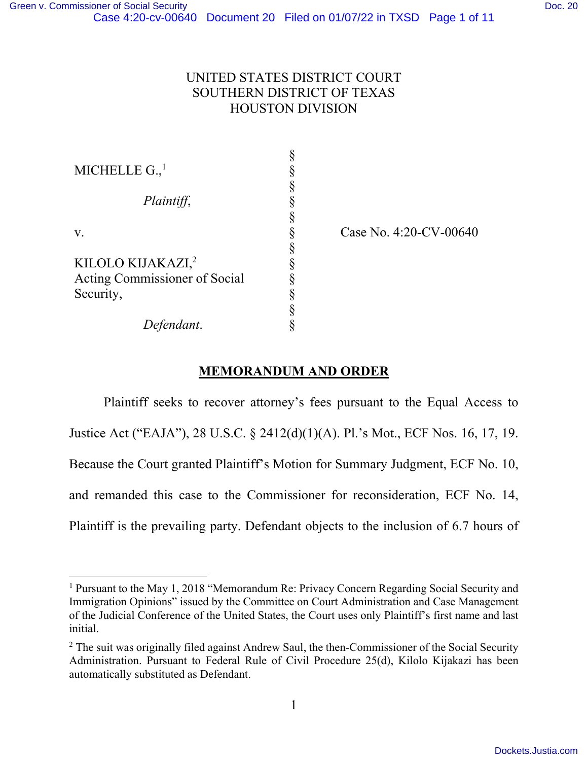# UNITED STATES DISTRICT COURT SOUTHERN DISTRICT OF TEXAS HOUSTON DIVISION

| MICHELLE $G.$ <sup>1</sup>    |  |
|-------------------------------|--|
| Plaintiff,                    |  |
|                               |  |
| V.                            |  |
|                               |  |
| KILOLO KIJAKAZI, <sup>2</sup> |  |
| Acting Commissioner of Social |  |
| Security,                     |  |
|                               |  |
| Defendant.                    |  |

Case No. 4:20-CV-00640

# **MEMORANDUM AND ORDER**

Plaintiff seeks to recover attorney's fees pursuant to the Equal Access to Justice Act ("EAJA"), 28 U.S.C. § 2412(d)(1)(A). Pl.'s Mot., ECF Nos. 16, 17, 19. Because the Court granted Plaintiff's Motion for Summary Judgment, ECF No. 10, and remanded this case to the Commissioner for reconsideration, ECF No. 14, Plaintiff is the prevailing party. Defendant objects to the inclusion of 6.7 hours of

<sup>&</sup>lt;sup>1</sup> Pursuant to the May 1, 2018 "Memorandum Re: Privacy Concern Regarding Social Security and Immigration Opinions" issued by the Committee on Court Administration and Case Management of the Judicial Conference of the United States, the Court uses only Plaintiff's first name and last initial.

 $2$  The suit was originally filed against Andrew Saul, the then-Commissioner of the Social Security Administration. Pursuant to Federal Rule of Civil Procedure 25(d), Kilolo Kijakazi has been automatically substituted as Defendant.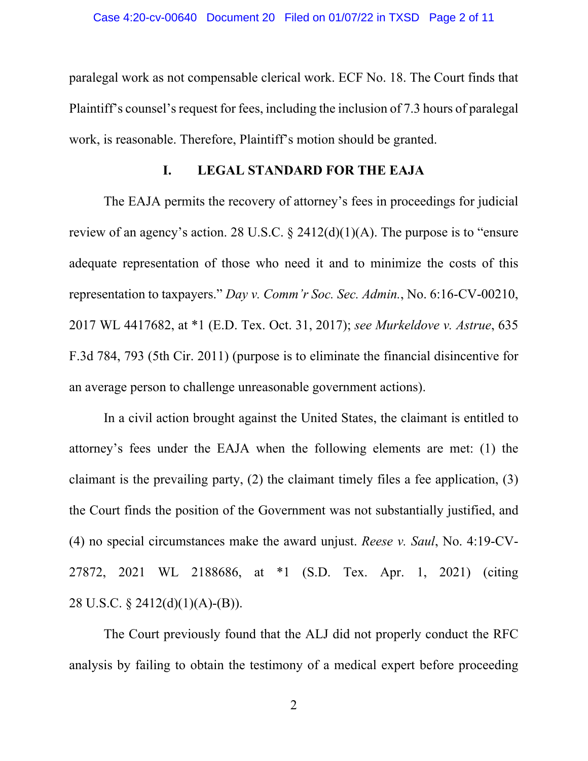paralegal work as not compensable clerical work. ECF No. 18. The Court finds that Plaintiff's counsel's request for fees, including the inclusion of 7.3 hours of paralegal work, is reasonable. Therefore, Plaintiff's motion should be granted.

## **I. LEGAL STANDARD FOR THE EAJA**

The EAJA permits the recovery of attorney's fees in proceedings for judicial review of an agency's action. 28 U.S.C.  $\S$  2412(d)(1)(A). The purpose is to "ensure adequate representation of those who need it and to minimize the costs of this representation to taxpayers." *Day v. Comm'r Soc. Sec. Admin.*, No. 6:16-CV-00210, 2017 WL 4417682, at \*1 (E.D. Tex. Oct. 31, 2017); *see Murkeldove v. Astrue*, 635 F.3d 784, 793 (5th Cir. 2011) (purpose is to eliminate the financial disincentive for an average person to challenge unreasonable government actions).

In a civil action brought against the United States, the claimant is entitled to attorney's fees under the EAJA when the following elements are met: (1) the claimant is the prevailing party, (2) the claimant timely files a fee application, (3) the Court finds the position of the Government was not substantially justified, and (4) no special circumstances make the award unjust. *Reese v. Saul*, No. 4:19-CV-27872, 2021 WL 2188686, at \*1 (S.D. Tex. Apr. 1, 2021) (citing 28 U.S.C. § 2412(d)(1)(A)-(B)).

The Court previously found that the ALJ did not properly conduct the RFC analysis by failing to obtain the testimony of a medical expert before proceeding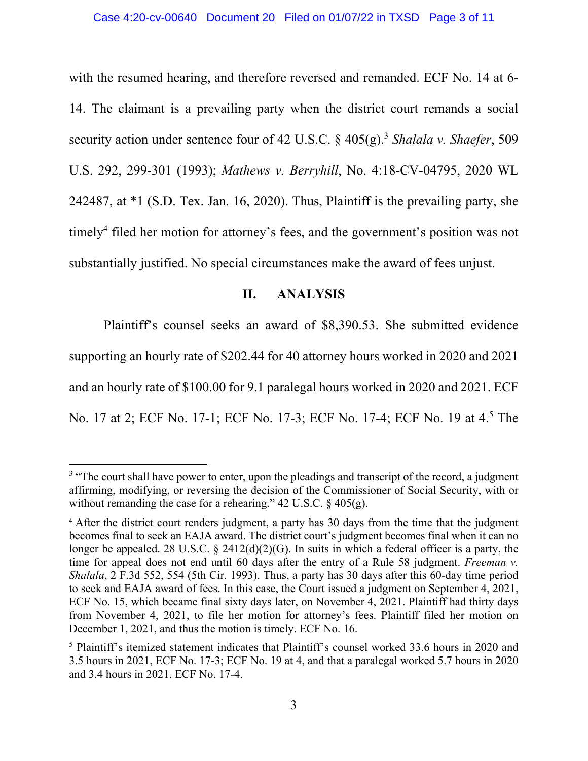with the resumed hearing, and therefore reversed and remanded. ECF No. 14 at 6- 14. The claimant is a prevailing party when the district court remands a social security action under sentence four of 42 U.S.C. § 405(g).<sup>3</sup> *Shalala v. Shaefer*, 509 U.S. 292, 299-301 (1993); *Mathews v. Berryhill*, No. 4:18-CV-04795, 2020 WL 242487, at \*1 (S.D. Tex. Jan. 16, 2020). Thus, Plaintiff is the prevailing party, she timely<sup>4</sup> filed her motion for attorney's fees, and the government's position was not substantially justified. No special circumstances make the award of fees unjust.

### **II. ANALYSIS**

Plaintiff's counsel seeks an award of \$8,390.53. She submitted evidence supporting an hourly rate of \$202.44 for 40 attorney hours worked in 2020 and 2021 and an hourly rate of \$100.00 for 9.1 paralegal hours worked in 2020 and 2021. ECF No. 17 at 2; ECF No. 17-1; ECF No. 17-3; ECF No. 17-4; ECF No. 19 at 4.<sup>5</sup> The

<sup>&</sup>lt;sup>3</sup> "The court shall have power to enter, upon the pleadings and transcript of the record, a judgment affirming, modifying, or reversing the decision of the Commissioner of Social Security, with or without remanding the case for a rehearing."  $42 \text{ U.S.C.} \& 405(g)$ .

<sup>&</sup>lt;sup>4</sup> After the district court renders judgment, a party has 30 days from the time that the judgment becomes final to seek an EAJA award. The district court's judgment becomes final when it can no longer be appealed. 28 U.S.C. § 2412(d)(2)(G). In suits in which a federal officer is a party, the time for appeal does not end until 60 days after the entry of a Rule 58 judgment. *Freeman v. Shalala*, 2 F.3d 552, 554 (5th Cir. 1993). Thus, a party has 30 days after this 60-day time period to seek and EAJA award of fees. In this case, the Court issued a judgment on September 4, 2021, ECF No. 15, which became final sixty days later, on November 4, 2021. Plaintiff had thirty days from November 4, 2021, to file her motion for attorney's fees. Plaintiff filed her motion on December 1, 2021, and thus the motion is timely. ECF No. 16.

<sup>&</sup>lt;sup>5</sup> Plaintiff's itemized statement indicates that Plaintiff's counsel worked 33.6 hours in 2020 and 3.5 hours in 2021, ECF No. 17-3; ECF No. 19 at 4, and that a paralegal worked 5.7 hours in 2020 and 3.4 hours in 2021. ECF No. 17-4.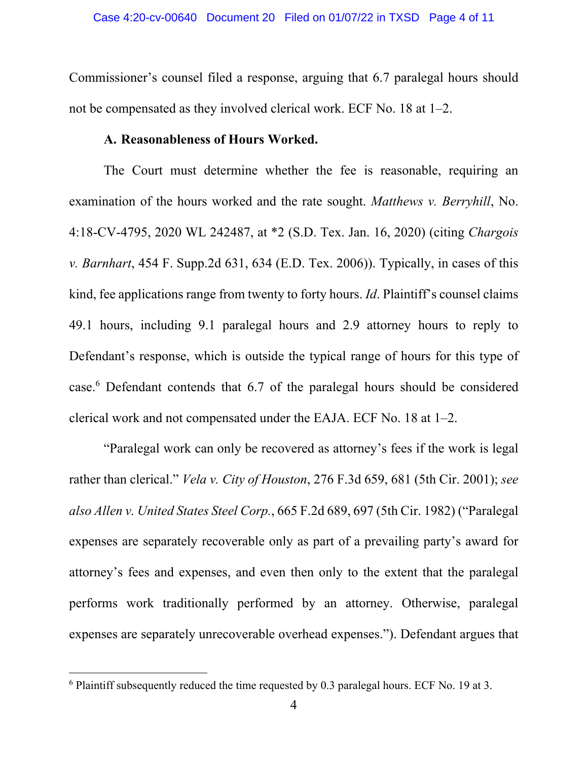Commissioner's counsel filed a response, arguing that 6.7 paralegal hours should not be compensated as they involved clerical work. ECF No. 18 at 1–2.

### **A. Reasonableness of Hours Worked.**

The Court must determine whether the fee is reasonable, requiring an examination of the hours worked and the rate sought. *Matthews v. Berryhill*, No. 4:18-CV-4795, 2020 WL 242487, at \*2 (S.D. Tex. Jan. 16, 2020) (citing *Chargois v. Barnhart*, 454 F. Supp.2d 631, 634 (E.D. Tex. 2006)). Typically, in cases of this kind, fee applications range from twenty to forty hours. *Id*. Plaintiff's counsel claims 49.1 hours, including 9.1 paralegal hours and 2.9 attorney hours to reply to Defendant's response, which is outside the typical range of hours for this type of case.<sup>6</sup> Defendant contends that 6.7 of the paralegal hours should be considered clerical work and not compensated under the EAJA. ECF No. 18 at 1–2.

"Paralegal work can only be recovered as attorney's fees if the work is legal rather than clerical." *Vela v. City of Houston*, 276 F.3d 659, 681 (5th Cir. 2001); *see also Allen v. United States Steel Corp.*, 665 F.2d 689, 697 (5th Cir. 1982) ("Paralegal expenses are separately recoverable only as part of a prevailing party's award for attorney's fees and expenses, and even then only to the extent that the paralegal performs work traditionally performed by an attorney. Otherwise, paralegal expenses are separately unrecoverable overhead expenses."). Defendant argues that

 $6$  Plaintiff subsequently reduced the time requested by 0.3 paralegal hours. ECF No. 19 at 3.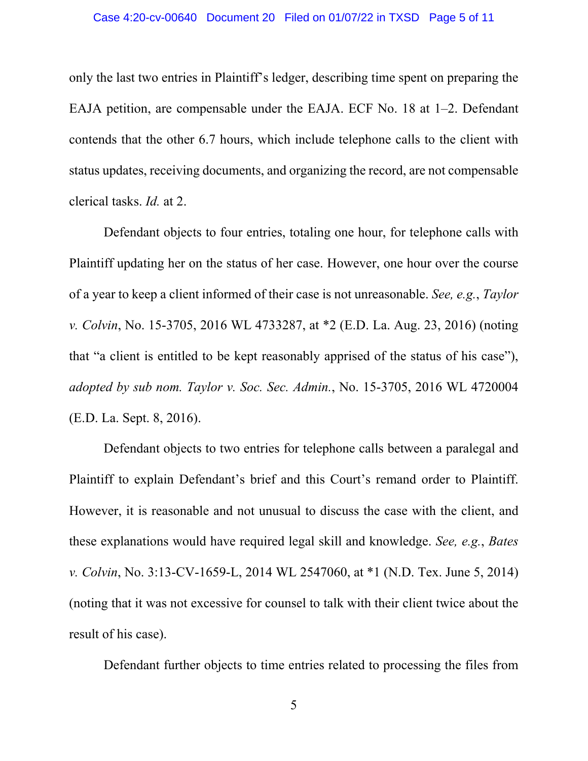only the last two entries in Plaintiff's ledger, describing time spent on preparing the EAJA petition, are compensable under the EAJA. ECF No. 18 at 1–2. Defendant contends that the other 6.7 hours, which include telephone calls to the client with status updates, receiving documents, and organizing the record, are not compensable clerical tasks. *Id.* at 2.

Defendant objects to four entries, totaling one hour, for telephone calls with Plaintiff updating her on the status of her case. However, one hour over the course of a year to keep a client informed of their case is not unreasonable. *See, e.g.*, *Taylor v. Colvin*, No. 15-3705, 2016 WL 4733287, at \*2 (E.D. La. Aug. 23, 2016) (noting that "a client is entitled to be kept reasonably apprised of the status of his case"), *adopted by sub nom. Taylor v. Soc. Sec. Admin.*, No. 15-3705, 2016 WL 4720004 (E.D. La. Sept. 8, 2016).

Defendant objects to two entries for telephone calls between a paralegal and Plaintiff to explain Defendant's brief and this Court's remand order to Plaintiff. However, it is reasonable and not unusual to discuss the case with the client, and these explanations would have required legal skill and knowledge. *See, e.g.*, *Bates v. Colvin*, No. 3:13-CV-1659-L, 2014 WL 2547060, at \*1 (N.D. Tex. June 5, 2014) (noting that it was not excessive for counsel to talk with their client twice about the result of his case).

Defendant further objects to time entries related to processing the files from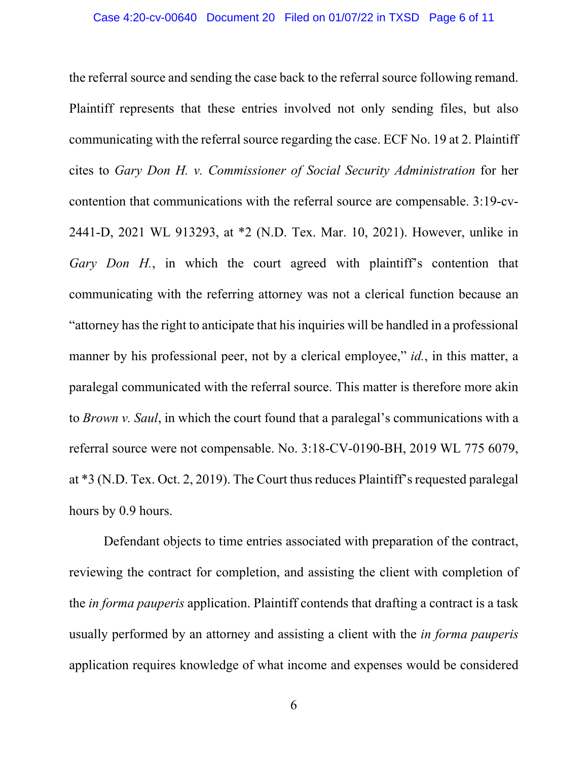the referral source and sending the case back to the referral source following remand. Plaintiff represents that these entries involved not only sending files, but also communicating with the referral source regarding the case. ECF No. 19 at 2. Plaintiff cites to *Gary Don H. v. Commissioner of Social Security Administration* for her contention that communications with the referral source are compensable. 3:19-cv-2441-D, 2021 WL 913293, at \*2 (N.D. Tex. Mar. 10, 2021). However, unlike in *Gary Don H.*, in which the court agreed with plaintiff's contention that communicating with the referring attorney was not a clerical function because an "attorney has the right to anticipate that his inquiries will be handled in a professional manner by his professional peer, not by a clerical employee," *id.*, in this matter, a paralegal communicated with the referral source. This matter is therefore more akin to *Brown v. Saul*, in which the court found that a paralegal's communications with a referral source were not compensable. No. 3:18-CV-0190-BH, 2019 WL 775 6079, at \*3 (N.D. Tex. Oct. 2, 2019). The Court thus reduces Plaintiff's requested paralegal hours by 0.9 hours.

Defendant objects to time entries associated with preparation of the contract, reviewing the contract for completion, and assisting the client with completion of the *in forma pauperis* application. Plaintiff contends that drafting a contract is a task usually performed by an attorney and assisting a client with the *in forma pauperis* application requires knowledge of what income and expenses would be considered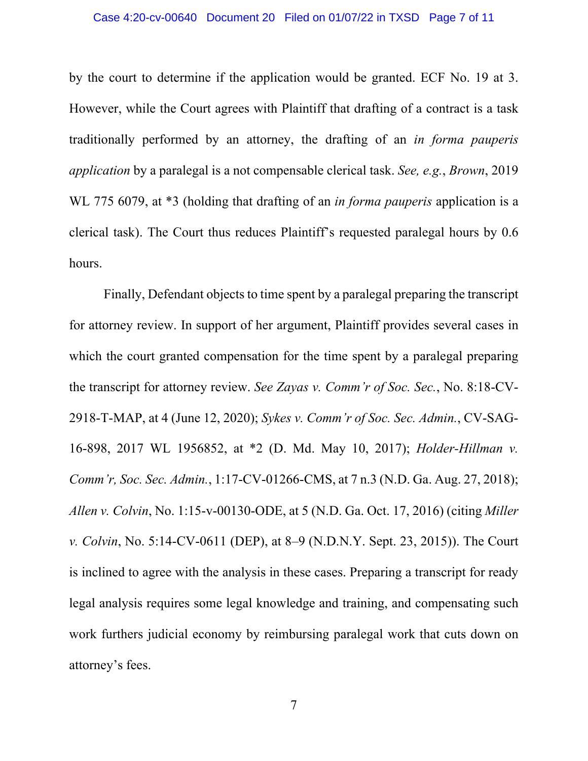#### Case 4:20-cv-00640 Document 20 Filed on 01/07/22 in TXSD Page 7 of 11

by the court to determine if the application would be granted. ECF No. 19 at 3. However, while the Court agrees with Plaintiff that drafting of a contract is a task traditionally performed by an attorney, the drafting of an *in forma pauperis application* by a paralegal is a not compensable clerical task. *See, e.g.*, *Brown*, 2019 WL 775 6079, at \*3 (holding that drafting of an *in forma pauperis* application is a clerical task). The Court thus reduces Plaintiff's requested paralegal hours by 0.6 hours.

Finally, Defendant objects to time spent by a paralegal preparing the transcript for attorney review. In support of her argument, Plaintiff provides several cases in which the court granted compensation for the time spent by a paralegal preparing the transcript for attorney review. *See Zayas v. Comm'r of Soc. Sec.*, No. 8:18-CV-2918-T-MAP, at 4 (June 12, 2020); *Sykes v. Comm'r of Soc. Sec. Admin.*, CV-SAG-16-898, 2017 WL 1956852, at \*2 (D. Md. May 10, 2017); *Holder-Hillman v. Comm'r, Soc. Sec. Admin.*, 1:17-CV-01266-CMS, at 7 n.3 (N.D. Ga. Aug. 27, 2018); *Allen v. Colvin*, No. 1:15-v-00130-ODE, at 5 (N.D. Ga. Oct. 17, 2016) (citing *Miller v. Colvin*, No. 5:14-CV-0611 (DEP), at 8–9 (N.D.N.Y. Sept. 23, 2015)). The Court is inclined to agree with the analysis in these cases. Preparing a transcript for ready legal analysis requires some legal knowledge and training, and compensating such work furthers judicial economy by reimbursing paralegal work that cuts down on attorney's fees.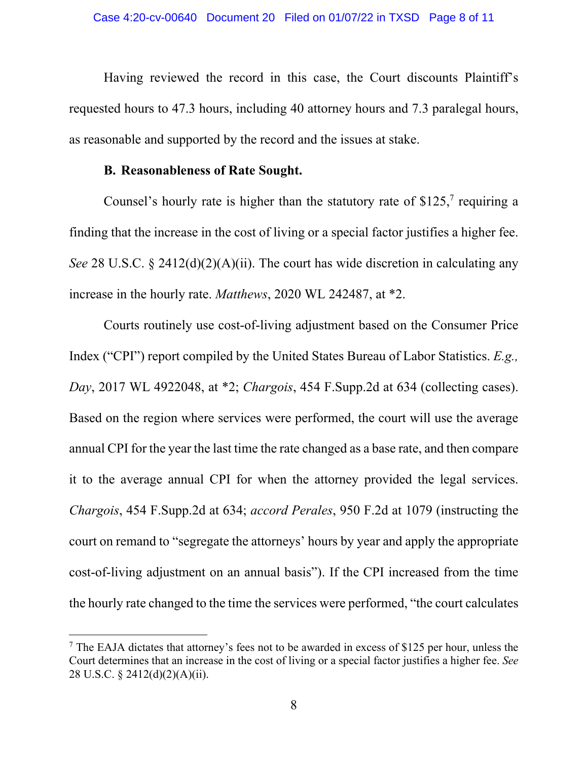Having reviewed the record in this case, the Court discounts Plaintiff's requested hours to 47.3 hours, including 40 attorney hours and 7.3 paralegal hours, as reasonable and supported by the record and the issues at stake.

## **B. Reasonableness of Rate Sought.**

Counsel's hourly rate is higher than the statutory rate of  $$125$ , requiring a finding that the increase in the cost of living or a special factor justifies a higher fee. *See* 28 U.S.C. § 2412(d)(2)(A)(ii). The court has wide discretion in calculating any increase in the hourly rate. *Matthews*, 2020 WL 242487, at \*2.

Courts routinely use cost-of-living adjustment based on the Consumer Price Index ("CPI") report compiled by the United States Bureau of Labor Statistics. *E.g., Day*, 2017 WL 4922048, at \*2; *Chargois*, 454 F.Supp.2d at 634 (collecting cases). Based on the region where services were performed, the court will use the average annual CPI for the year the last time the rate changed as a base rate, and then compare it to the average annual CPI for when the attorney provided the legal services. *Chargois*, 454 F.Supp.2d at 634; *accord Perales*, 950 F.2d at 1079 (instructing the court on remand to "segregate the attorneys' hours by year and apply the appropriate cost-of-living adjustment on an annual basis"). If the CPI increased from the time the hourly rate changed to the time the services were performed, "the court calculates

<sup>&</sup>lt;sup>7</sup> The EAJA dictates that attorney's fees not to be awarded in excess of \$125 per hour, unless the Court determines that an increase in the cost of living or a special factor justifies a higher fee. *See* 28 U.S.C. § 2412(d)(2)(A)(ii).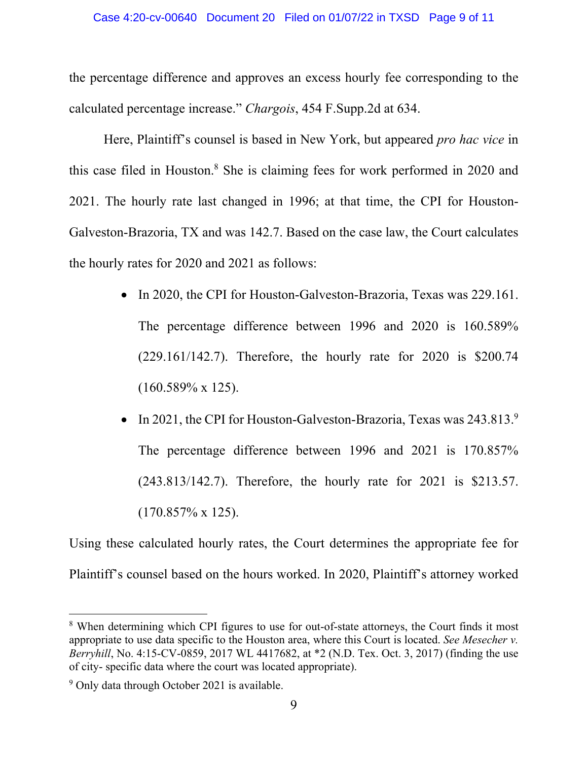the percentage difference and approves an excess hourly fee corresponding to the calculated percentage increase." *Chargois*, 454 F.Supp.2d at 634.

Here, Plaintiff's counsel is based in New York, but appeared *pro hac vice* in this case filed in Houston.<sup>8</sup> She is claiming fees for work performed in 2020 and 2021. The hourly rate last changed in 1996; at that time, the CPI for Houston-Galveston-Brazoria, TX and was 142.7. Based on the case law, the Court calculates the hourly rates for 2020 and 2021 as follows:

- In 2020, the CPI for Houston-Galveston-Brazoria, Texas was 229.161. The percentage difference between 1996 and 2020 is 160.589% (229.161/142.7). Therefore, the hourly rate for 2020 is \$200.74 (160.589% x 125).
- In 2021, the CPI for Houston-Galveston-Brazoria, Texas was  $243.813.^9$ The percentage difference between 1996 and 2021 is 170.857% (243.813/142.7). Therefore, the hourly rate for 2021 is \$213.57.  $(170.857\% \times 125).$

Using these calculated hourly rates, the Court determines the appropriate fee for Plaintiff's counsel based on the hours worked. In 2020, Plaintiff's attorney worked

<sup>&</sup>lt;sup>8</sup> When determining which CPI figures to use for out-of-state attorneys, the Court finds it most appropriate to use data specific to the Houston area, where this Court is located. *See Mesecher v. Berryhill*, No. 4:15-CV-0859, 2017 WL 4417682, at \*2 (N.D. Tex. Oct. 3, 2017) (finding the use of city- specific data where the court was located appropriate).

<sup>&</sup>lt;sup>9</sup> Only data through October 2021 is available.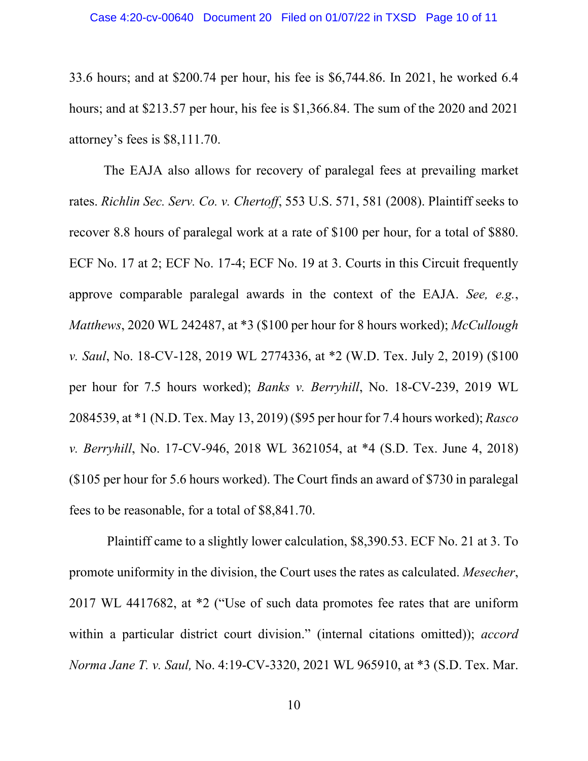33.6 hours; and at \$200.74 per hour, his fee is \$6,744.86. In 2021, he worked 6.4 hours; and at \$213.57 per hour, his fee is \$1,366.84. The sum of the 2020 and 2021 attorney's fees is \$8,111.70.

 The EAJA also allows for recovery of paralegal fees at prevailing market rates. *Richlin Sec. Serv. Co. v. Chertoff*, 553 U.S. 571, 581 (2008). Plaintiff seeks to recover 8.8 hours of paralegal work at a rate of \$100 per hour, for a total of \$880. ECF No. 17 at 2; ECF No. 17-4; ECF No. 19 at 3. Courts in this Circuit frequently approve comparable paralegal awards in the context of the EAJA. *See, e.g.*, *Matthews*, 2020 WL 242487, at \*3 (\$100 per hour for 8 hours worked); *McCullough v. Saul*, No. 18-CV-128, 2019 WL 2774336, at \*2 (W.D. Tex. July 2, 2019) (\$100 per hour for 7.5 hours worked); *Banks v. Berryhill*, No. 18-CV-239, 2019 WL 2084539, at \*1 (N.D. Tex. May 13, 2019) (\$95 per hour for 7.4 hours worked); *Rasco v. Berryhill*, No. 17-CV-946, 2018 WL 3621054, at \*4 (S.D. Tex. June 4, 2018) (\$105 per hour for 5.6 hours worked). The Court finds an award of \$730 in paralegal fees to be reasonable, for a total of \$8,841.70.

 Plaintiff came to a slightly lower calculation, \$8,390.53. ECF No. 21 at 3. To promote uniformity in the division, the Court uses the rates as calculated. *Mesecher*, 2017 WL 4417682, at \*2 ("Use of such data promotes fee rates that are uniform within a particular district court division." (internal citations omitted)); *accord Norma Jane T. v. Saul,* No. 4:19-CV-3320, 2021 WL 965910, at \*3 (S.D. Tex. Mar.